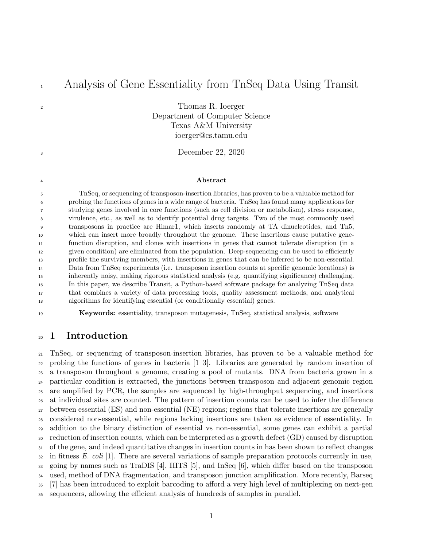# Analysis of Gene Essentiality from TnSeq Data Using Transit

Thomas R. Ioerger Department of Computer Science Texas A&M University ioerger@cs.tamu.edu

December 22, 2020

#### <sup>4</sup> Abstract

 TnSeq, or sequencing of transposon-insertion libraries, has proven to be a valuable method for probing the functions of genes in a wide range of bacteria. TnSeq has found many applications for studying genes involved in core functions (such as cell division or metabolism), stress response, virulence, etc., as well as to identify potential drug targets. Two of the most commonly used transposons in practice are Himar1, which inserts randomly at TA dinucleotides, and Tn5, which can insert more broadly throughout the genome. These insertions cause putative gene- function disruption, and clones with insertions in genes that cannot tolerate disruption (in a given condition) are eliminated from the population. Deep-sequencing can be used to efficiently profile the surviving members, with insertions in genes that can be inferred to be non-essential. Data from TnSeq experiments (i.e. transposon insertion counts at specific genomic locations) is inherently noisy, making rigorous statistical analysis (e.g. quantifying significance) challenging. In this paper, we describe Transit, a Python-based software package for analyzing TnSeq data that combines a variety of data processing tools, quality assessment methods, and analytical algorithms for identifying essential (or conditionally essential) genes.

Keywords: essentiality, transposon mutagenesis, TnSeq, statistical analysis, software

## 1 Introduction

 TnSeq, or sequencing of transposon-insertion libraries, has proven to be a valuable method for probing the functions of genes in bacteria [1–3]. Libraries are generated by random insertion of a transposon throughout a genome, creating a pool of mutants. DNA from bacteria grown in a particular condition is extracted, the junctions between transposon and adjacent genomic region are amplified by PCR, the samples are sequenced by high-throughput sequencing, and insertions at individual sites are counted. The pattern of insertion counts can be used to infer the difference between essential (ES) and non-essential (NE) regions; regions that tolerate insertions are generally considered non-essential, while regions lacking insertions are taken as evidence of essentiality. In addition to the binary distinction of essential vs non-essential, some genes can exhibit a partial reduction of insertion counts, which can be interpreted as a growth defect (GD) caused by disruption of the gene, and indeed quantitative changes in insertion counts in has been shown to reflect changes  $\alpha$  in fitness E. coli [1]. There are several variations of sample preparation protocols currently in use, going by names such as TraDIS [4], HITS [5], and InSeq [6], which differ based on the transposon used, method of DNA fragmentation, and transposon junction amplification. More recently, Barseq [7] has been introduced to exploit barcoding to afford a very high level of multiplexing on next-gen sequencers, allowing the efficient analysis of hundreds of samples in parallel.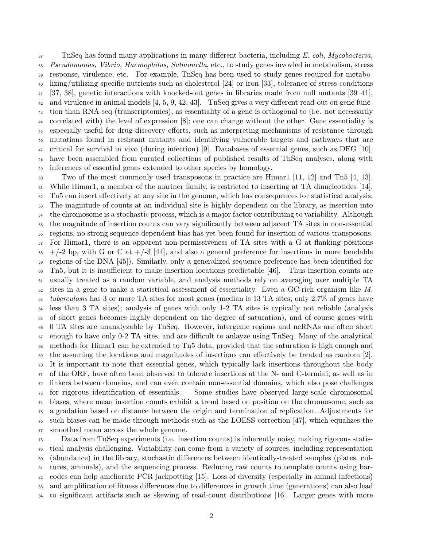37 TnSeq has found many applications in many different bacteria, including E. coli, Mycobacteria, Pseudomonas, Vibrio, Haemophilus, Salmonella, etc., to study genes invovled in metabolism, stress response, virulence, etc. For example, TnSeq has been used to study genes required for metabo- lizing/utilizing specific nutrients such as cholesterol [24] or iron [33], tolerance of stress conditions [37, 38], genetic interactions with knocked-out genes in libraries made from null mutants [39–41], and virulence in animal models [4, 5, 9, 42, 43]. TnSeq gives a very different read-out on gene func- tion than RNA-seq (transcriptomics), as essentiality of a gene is orthogonal to (i.e. not necessarily correlated with) the level of expression [8]; one can change without the other. Gene essentiality is especially useful for drug discovery efforts, such as interpreting mechanisms of resistance through mutations found in resistant mutants and identifying vulnerable targets and pathways that are critical for survival in vivo (during infection) [9]. Databases of essential genes, such as DEG [10], have been assembled from curated collections of published results of TnSeq analyses, along with inferences of essential genes extended to other species by homology.

 Two of the most commonly used transposons in practice are Himar1 [11, 12] and Tn5 [4, 13]. While Himar1, a member of the mariner family, is restricted to inserting at TA dinucleotides [14], Tn5 can insert effectively at any site in the genome, which has consequences for statistical analysis. The magnitude of counts at an individual site is highly dependent on the library, as insertion into the chromosome is a stochastic process, which is a major factor contributing to variability. Although the magnitude of insertion counts can vary significantly between adjacent TA sites in non-essential regions, no strong sequence-dependent bias has yet been found for insertion of various transposons. For Himar1, there is an apparent non-permissiveness of TA sites with a G at flanking positions  $58 +/-2$  bp, with G or C at  $+/-3$  [44], and also a general preference for insertions in more bendable regions of the DNA [45]). Similarly, only a generalized sequence preference has been identified for Tn5, but it is insufficient to make insertion locations predictable [46]. Thus insertion counts are usually treated as a random variable, and analysis methods rely on averaging over multiple TA sites in a gene to make a statistical assessment of essentiality. Even a GC-rich organism like M. tuberculosis has 3 or more TA sites for most genes (median is 13 TA sites; only 2.7% of genes have less than 3 TA sites); analysis of genes with only 1-2 TA sites is typically not reliable (analysis of short genes becomes highly dependent on the degree of saturation), and of course genes with 0 TA sites are unanalyzable by TnSeq. However, intergenic regions and ncRNAs are often short enough to have only 0-2 TA sites, and are difficult to anlayze using TnSeq. Many of the analytical methods for Himar1 can be extended to Tn5 data, provided that the saturation is high enough and the assuming the locations and magnitudes of insertions can effectively be treated as random [2]. It is important to note that essential genes, which typically lack insertions throughout the body of the ORF, have often been observed to tolerate insertions at the N- and C-termini, as well as in linkers between domains, and can even contain non-essential domains, which also pose challenges for rigorous identification of essentials. Some studies have observed large-scale chromosomal biases, where mean insertion counts exhibit a trend based on position on the chromosome, such as a gradation based on distance between the origin and termination of replication. Adjustments for such biases can be made through methods such as the LOESS correction [47], which equalizes the smoothed mean across the whole genome.

 Data from TnSeq experiments (i.e. insertion counts) is inherently noisy, making rigorous statis- tical analysis challenging. Variability can come from a variety of sources, including representation (abundance) in the library, stochastic differences between identically-treated samples (plates, cul- tures, amimals), and the sequencing process. Reducing raw counts to template counts using bar- codes can help ameliorate PCR jackpotting [15]. Loss of diversity (especially in animal infections) and amplification of fitness differences due to differences in growth time (generations) can also lead to significant artifacts such as skewing of read-count distributions [16]. Larger genes with more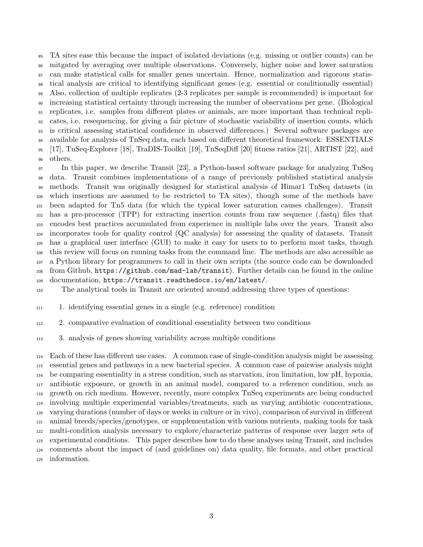TA sites ease this because the impact of isolated deviations (e.g. missing or outlier counts) can be mitgated by averaging over multiple observations. Conversely, higher noise and lower saturation can make statistical calls for smaller genes uncertain. Hence, normalization and rigorous statis- tical analysis are critical to identifying significant genes (e.g. essential or conditionally essential) Also, collection of multiple replicates (2-3 replicates per sample is recommended) is important for increasing statistical certainty through increasing the number of observations per gene. (Biological replicates, i.e. samples from different plates or animals, are more important than technical repli- cates, i.e. resequencing, for giving a fair picture of stochastic variability of insertion counts, which is critical assessing statistical confidence in observed differences.) Several software packages are available for analysis of TnSeq data, each based on different theoretical framework: ESSENTIALS [17], TnSeq-Explorer [18], TraDIS-Toolkit [19], TnSeqDiff [20] fitness ratios [21], ARTIST [22], and others.

 In this paper, we describe Transit [23], a Python-based software package for analyzing TnSeq data. Transit combines implementations of a range of previously published statistical analysis methods. Transit was originally designed for statistical analysis of Himar1 TnSeq datasets (in which insertions are assumed to be restricted to TA sites), though some of the methods have been adapted for Tn5 data (for which the typical lower saturation causes challenges). Transit has a pre-processor (TPP) for extracting insertion counts from raw sequence (.fastq) files that encodes best practices accumulated from experience in multiple labs over the years. Transit also incorporates tools for quality control (QC analysis) for assessing the quality of datasets. Transit has a graphical user interface (GUI) to make it easy for users to to perform most tasks, though this review will focus on running tasks from the command line. The methods are also accessible as a Python library for programmers to call in their own scripts (the source code can be downloaded from Github, https://github.com/mad-lab/transit). Further details can be found in the online

documentation, https://transit.readthedocs.io/en/latest/.

The analytical tools in Transit are oriented around addressing three types of questions:

1. identifying essential genes in a single (e.g. reference) condition

2. comparative evaluation of conditional essentiality between two conditions

3. analysis of genes showing variability across multiple conditions

 Each of these has different use cases. A common case of single-condition analysis might be assessing essential genes and pathways in a new bacterial species. A common case of pairwise analysis might be comparing essentiality in a stress condition, such as starvation, iron limitation, low pH, hypoxia, antibiotic exposure, or growth in an animal model, compared to a reference condition, such as growth on rich medium. However, recently, more complex TnSeq experiments are being conducted involving multiple experimental variables/treatments, such as varying antibiotic concentrations, varying durations (number of days or weeks in culture or in vivo), comparison of survival in different animal breeds/species/genotypes, or supplementation with various nutrients, making tools for task multi-condition analysis necessary to explore/characterize patterns of response over larger sets of experimental conditions. This paper describes how to do these analyses using Transit, and includes comments about the impact of (and guidelines on) data quality, file formats, and other practical information.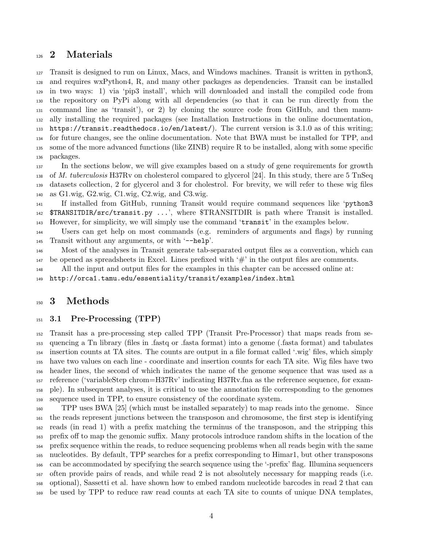## 2 Materials

 Transit is designed to run on Linux, Macs, and Windows machines. Transit is written in python3, and requires wxPython4, R, and many other packages as dependencies. Transit can be installed in two ways: 1) via 'pip3 install', which will downloaded and install the compiled code from the repository on PyPi along with all dependencies (so that it can be run directly from the command line as 'transit'), or 2) by cloning the source code from GitHub, and then manu- ally installing the required packages (see Installation Instructions in the online documentation, https://transit.readthedocs.io/en/latest/). The current version is 3.1.0 as of this writing; for future changes, see the online documentation. Note that BWA must be installed for TPP, and some of the more advanced functions (like ZINB) require R to be installed, along with some specific packages.

 In the sections below, we will give examples based on a study of gene requirements for growth 138 of M. tuberculosis H37Rv on cholesterol compared to glycerol [24]. In this study, there are 5 TnSeq datasets collection, 2 for glycerol and 3 for cholestrol. For brevity, we will refer to these wig files as G1.wig, G2.wig, C1.wig, C2.wig, and C3.wig.

 If installed from GitHub, running Transit would require command sequences like 'python3 \$TRANSITDIR/src/transit.py ...', where \$TRANSITDIR is path where Transit is installed. However, for simplicity, we will simply use the command 'transit' in the examples below.

 Users can get help on most commands (e.g. reminders of arguments and flags) by running Transit without any arguments, or with '--help'.

 Most of the analyses in Transit generate tab-separated output files as a convention, which can be opened as spreadsheets in Excel. Lines prefixed with '#' in the output files are comments.

All the input and output files for the examples in this chapter can be accessed online at:

http://orca1.tamu.edu/essentiality/transit/examples/index.html

### 3 Methods

### 3.1 Pre-Processing (TPP)

 Transit has a pre-processing step called TPP (Transit Pre-Processor) that maps reads from se- quencing a Tn library (files in .fastq or .fasta format) into a genome (.fasta format) and tabulates insertion counts at TA sites. The counts are output in a file format called '.wig' files, which simply have two values on each line - coordinate and insertion counts for each TA site. Wig files have two header lines, the second of which indicates the name of the genome sequence that was used as a reference ('variableStep chrom=H37Rv' indicating H37Rv.fna as the reference sequence, for exam- ple). In subsequent analyses, it is critical to use the annotation file corresponding to the genomes sequence used in TPP, to ensure consistency of the coordinate system.

 TPP uses BWA [25] (which must be installed separately) to map reads into the genome. Since the reads represent junctions between the transposon and chromosome, the first step is identifying reads (in read 1) with a prefix matching the terminus of the transposon, and the stripping this prefix off to map the genomic suffix. Many protocols introduce random shifts in the location of the prefix sequence within the reads, to reduce sequencing problems when all reads begin with the same nucleotides. By default, TPP searches for a prefix corresponding to Himar1, but other transposons can be accommodated by specifying the search sequence using the '-prefix' flag. Illumina sequencers often provide pairs of reads, and while read 2 is not absolutely necessary for mapping reads (i.e. optional), Sassetti et al. have shown how to embed random nucleotide barcodes in read 2 that can be used by TPP to reduce raw read counts at each TA site to counts of unique DNA templates,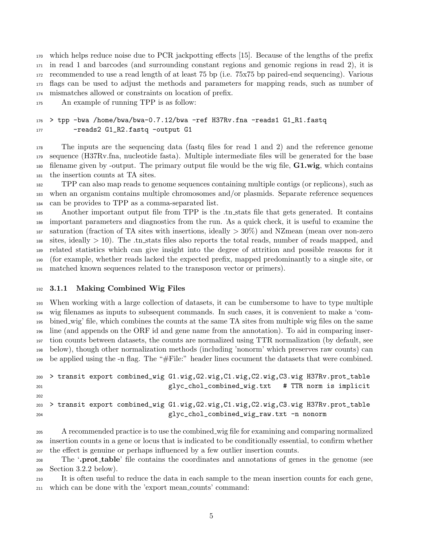which helps reduce noise due to PCR jackpotting effects [15]. Because of the lengths of the prefix in read 1 and barcodes (and surrounding constant regions and genomic regions in read 2), it is recommended to use a read length of at least 75 bp (i.e. 75x75 bp paired-end sequencing). Various flags can be used to adjust the methods and parameters for mapping reads, such as number of mismatches allowed or constraints on location of prefix.

An example of running TPP is as follow:

```
176 > tpp -bwa /home/bwa/bwa-0.7.12/bwa -ref H37Rv.fna -reads1 G1_R1.fastq
177 - reads2 G1_R2.fastq -output G1
```
 The inputs are the sequencing data (fastq files for read 1 and 2) and the reference genome sequence (H37Rv.fna, nucleotide fasta). Multiple intermediate files will be generated for the base filename given by -output. The primary output file would be the wig file,  $G1.wig$ , which contains the insertion counts at TA sites.

 TPP can also map reads to genome sequences containing multiple contigs (or replicons), such as when an organism contains multiple chromosomes and/or plasmids. Separate reference sequences can be provides to TPP as a comma-separated list.

 Another important output file from TPP is the .tn stats file that gets generated. It contains important parameters and diagnostics from the run. As a quick check, it is useful to examine the  $_{187}$  saturation (fraction of TA sites with insertions, ideally  $>30\%$ ) and NZmean (mean over non-zero sites, ideally > 10). The .tn stats files also reports the total reads, number of reads mapped, and related statistics which can give insight into the degree of attrition and possible reasons for it (for example, whether reads lacked the expected prefix, mapped predominantly to a single site, or matched known sequences related to the transposon vector or primers).

### 3.1.1 Making Combined Wig Files

 When working with a large collection of datasets, it can be cumbersome to have to type multiple wig filenames as inputs to subsequent commands. In such cases, it is convenient to make a 'com- bined wig' file, which combines the counts at the same TA sites from multiple wig files on the same line (and appends on the ORF id and gene name from the annotation). To aid in comparing inser- tion counts between datasets, the counts are normalized using TTR normalization (by default, see below), though other normalization methods (including 'nonorm' which preserves raw counts) can be applied using the -n flag. The "#File:" header lines cocument the datasets that were combined.

```
200 > transit export combined_wig G1.wig,G2.wig,C1.wig,C2.wig,C3.wig H37Rv.prot_table
201 glyc_chol_combined_wig.txt # TTR norm is implicit
202
203 > transit export combined_wig G1.wig,G2.wig,C1.wig,C2.wig,C3.wig H37Rv.prot_table
204 glyc_chol_combined_wig_raw.txt -n nonorm
```
 A recommended practice is to use the combined wig file for examining and comparing normalized insertion counts in a gene or locus that is indicated to be conditionally essential, to confirm whether the effect is genuine or perhaps influenced by a few outlier insertion counts.

 The '.prot table' file contains the coordinates and annotations of genes in the genome (see Section 3.2.2 below).

 It is often useful to reduce the data in each sample to the mean insertion counts for each gene, which can be done with the 'export mean counts' command: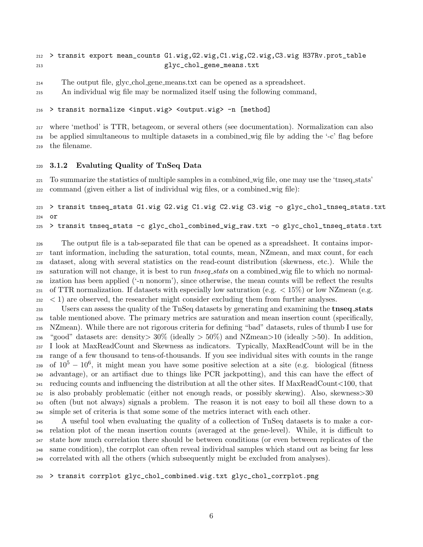```
212 > transit export mean_counts G1.wig,G2.wig,C1.wig,C2.wig,C3.wig H37Rv.prot_table
213 glyc_chol_gene_means.txt
```

```
214 The output file, glyc chol gene means.txt can be opened as a spreadsheet.
```
An individual wig file may be normalized itself using the following command,

```
216 > transit normalize <input.wig> <output.wig> -n [method]
```
 where 'method' is TTR, betageom, or several others (see documentation). Normalization can also be applied simultaneous to multiple datasets in a combined wig file by adding the '-c' flag before the filename.

### 3.1.2 Evaluting Quality of TnSeq Data

 To summarize the statistics of multiple samples in a combined wig file, one may use the 'tnseq stats' command (given either a list of individual wig files, or a combined wig file):

```
223 > transit tnseq_stats G1.wig G2.wig C1.wig C2.wig C3.wig -o glyc_chol_tnseq_stats.txt
224 or
225 > transit tnseq_stats -c glyc_chol_combined_wig_raw.txt -o glyc_chol_tnseq_stats.txt
```
 The output file is a tab-separated file that can be opened as a spreadsheet. It contains impor- tant information, including the saturation, total counts, mean, NZmean, and max count, for each dataset, along with several statistics on the read-count distribution (skewness, etc.). While the  $_{229}$  saturation will not change, it is best to run *tnseq stats* on a combined wig file to which no normal- ization has been applied ('-n nonorm'), since otherwise, the mean counts will be reflect the results 231 of TTR normalization. If datasets with especially low saturation (e.g.  $\lt 15\%$ ) or low NZmean (e.g.  $232 < 1$ ) are observed, the researcher might consider excluding them from further analyses.

233 Users can assess the quality of the TnSeq datasets by generating and examining the **tnseq\_stats**  table mentioned above. The primary metrics are saturation and mean insertion count (specifically, NZmean). While there are not rigorous criteria for defining "bad" datasets, rules of thumb I use for <sup>236</sup> "good" datasets are: density  $30\%$  (ideally  $>50\%$ ) and NZmean  $>10$  (ideally  $>50$ ). In addition, I look at MaxReadCount and Skewness as indicators. Typically, MaxReadCount will be in the range of a few thousand to tens-of-thousands. If you see individual sites with counts in the range 239 of  $10^5 - 10^6$ , it might mean you have some positive selection at a site (e.g. biological (fitness advantage), or an artifiact due to things like PCR jackpotting), and this can have the effect of reducing counts and influencing the distribution at all the other sites. If MaxReadCount<100, that is also probably problematic (either not enough reads, or possibly skewing). Also, skewness>30 often (but not always) signals a problem. The reason it is not easy to boil all these down to a simple set of criteria is that some some of the metrics interact with each other.

 A useful tool when evaluating the quality of a collection of TnSeq datasets is to make a cor- relation plot of the mean insertion counts (averaged at the gene-level). While, it is difficult to state how much correlation there should be between conditions (or even between replicates of the same condition), the corrplot can often reveal individual samples which stand out as being far less correlated with all the others (which subsequently might be excluded from analyses).

> transit corrplot glyc\_chol\_combined.wig.txt glyc\_chol\_corrplot.png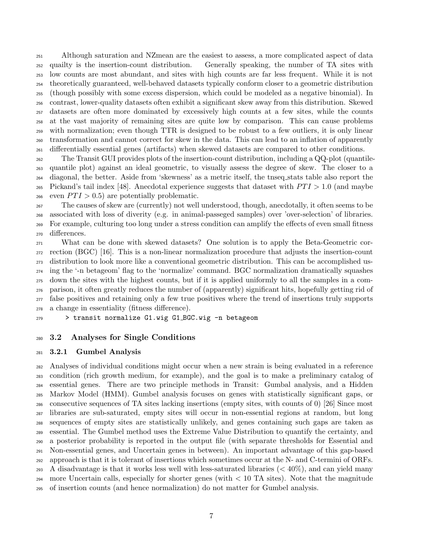Although saturation and NZmean are the easiest to assess, a more complicated aspect of data quailty is the insertion-count distribution. Generally speaking, the number of TA sites with low counts are most abundant, and sites with high counts are far less frequent. While it is not theoretically guaranteed, well-behaved datasets typically conform closer to a geometric distribution (though possibly with some excess dispersion, which could be modeled as a negative binomial). In contrast, lower-quality datasets often exhibit a significant skew away from this distribution. Skewed datasets are often more dominated by excessively high counts at a few sites, while the counts at the vast majority of remaining sites are quite low by comparison. This can cause problems with normalization; even though TTR is designed to be robust to a few outliers, it is only linear transformation and cannot correct for skew in the data. This can lead to an inflation of apparently differentially essential genes (artifacts) when skewed datasets are compared to other conditions.

 The Transit GUI provides plots of the insertion-count distribution, including a QQ-plot (quantile- quantile plot) against an ideal geometric, to visually assess the degree of skew. The closer to a diagonal, the better. Aside from 'skewness' as a metric itself, the tnseq stats table also report the 265 Pickand's tail index [48]. Anecdotal experience suggests that dataset with  $PTI > 1.0$  (and maybe 266 even  $PTI > 0.5$  are potentially problematic.

 The causes of skew are (currently) not well understood, though, anecdotally, it often seems to be associated with loss of diverity (e.g. in animal-passeged samples) over 'over-selection' of libraries. For example, culturing too long under a stress condition can amplify the effects of even small fitness differences.

 What can be done with skewed datasets? One solution is to apply the Beta-Geometric cor- rection (BGC) [16]. This is a non-linear normalization procedure that adjusts the insertion-count distribution to look more like a conventional geometric distribution. This can be accomplished us- ing the '-n betageom' flag to the 'normalize' command. BGC normalization dramatically squashes down the sites with the highest counts, but if it is applied uniformly to all the samples in a com- parison, it often greatly reduces the number of (apparently) significant hits, hopefully getting rid of false positives and retaining only a few true positives where the trend of insertions truly supports a change in essentiality (fitness difference).

> transit normalize G1.wig G1 BGC.wig -n betageom

### 3.2 Analyses for Single Conditions

#### 3.2.1 Gumbel Analysis

 Analyses of individual conditions might occur when a new strain is being evaluated in a reference condition (rich growth medium, for example), and the goal is to make a preliminary catalog of essential genes. There are two principle methods in Transit: Gumbal analysis, and a Hidden Markov Model (HMM). Gumbel analysis focuses on genes with statistically significant gaps, or consecutive sequences of TA sites lacking insertions (empty sites, with counts of 0) [26] Since most libraries are sub-saturated, empty sites will occur in non-essential regions at random, but long sequences of empty sites are statistically unlikely, and genes containing such gaps are taken as essential. The Gumbel method uses the Extreme Value Distribution to quantify the certainty, and a posterior probability is reported in the output file (with separate thresholds for Essential and Non-essential genes, and Uncertain genes in between). An important advantage of this gap-based approach is that it is tolerant of insertions which sometimes occur at the N- and C-termini of ORFs. 293 A disadvantage is that it works less well with less-saturated libraries  $(< 40\%)$ , and can yield many 294 more Uncertain calls, especially for shorter genes (with  $< 10$  TA sites). Note that the magnitude of insertion counts (and hence normalization) do not matter for Gumbel analysis.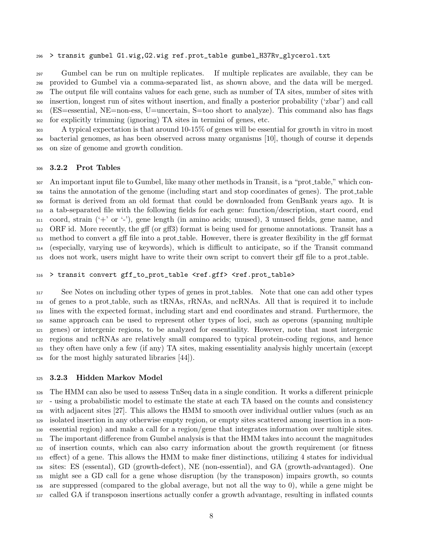#### > transit gumbel G1.wig,G2.wig ref.prot\_table gumbel\_H37Rv\_glycerol.txt

 Gumbel can be run on multiple replicates. If multiple replicates are available, they can be provided to Gumbel via a comma-separated list, as shown above, and the data will be merged. The output file will contains values for each gene, such as number of TA sites, number of sites with insertion, longest run of sites without insertion, and finally a posterior probability ('zbar') and call (ES=essential, NE=non-ess, U=uncertain, S=too short to analyze). This command also has flags for explicitly trimming (ignoring) TA sites in termini of genes, etc.

 A typical expectation is that around 10-15% of genes will be essential for growth in vitro in most bacterial genomes, as has been observed across many organisms [10], though of course it depends on size of genome and growth condition.

### 3.2.2 Prot Tables

307 An important input file to Gumbel, like many other methods in Transit, is a "prot\_table," which con- tains the annotation of the genome (including start and stop coordinates of genes). The prot table format is derived from an old format that could be downloaded from GenBank years ago. It is a tab-separated file with the following fields for each gene: function/description, start coord, end coord, strain  $($ + $\prime$  or  $\prime$ - $\prime$ ), gene length (in amino acids; unused), 3 unused fields, gene name, and ORF id. More recently, the gff (or gff3) format is being used for genome annotations. Transit has a method to convert a gff file into a prot table. However, there is greater flexibility in the gff format (especially, varying use of keywords), which is difficult to anticipate, so if the Transit command does not work, users might have to write their own script to convert their gff file to a prot table.

#### 316 > transit convert gff\_to\_prot\_table <ref.gff> <ref.prot\_table>

 See Notes on including other types of genes in prot tables. Note that one can add other types of genes to a prot table, such as tRNAs, rRNAs, and ncRNAs. All that is required it to include lines with the expected format, including start and end coordinates and strand. Furthermore, the same approach can be used to represent other types of loci, such as operons (spanning multiple genes) or intergenic regions, to be analyzed for essentiality. However, note that most intergenic regions and ncRNAs are relatively small compared to typical protein-coding regions, and hence they often have only a few (if any) TA sites, making essentiality analysis highly uncertain (except for the most highly saturated libraries [44]).

#### 3.2.3 Hidden Markov Model

 The HMM can also be used to assess TnSeq data in a single condition. It works a different prinicple - using a probabilistic model to estimate the state at each TA based on the counts and consistency with adjacent sites [27]. This allows the HMM to smooth over individual outlier values (such as an isolated insertion in any otherwise empty region, or empty sites scattered among insertion in a non- essential region) and make a call for a region/gene that integrates information over multiple sites. The important difference from Gumbel analysis is that the HMM takes into account the magnitudes of insertion counts, which can also carry information about the growth requirement (or fitness effect) of a gene. This allows the HMM to make finer distinctions, utilizing 4 states for individual sites: ES (essental), GD (growth-defect), NE (non-essential), and GA (growth-advantaged). One might see a GD call for a gene whose disruption (by the transposon) impairs growth, so counts are suppressed (compared to the global average, but not all the way to 0), while a gene might be called GA if transposon insertions actually confer a growth advantage, resulting in inflated counts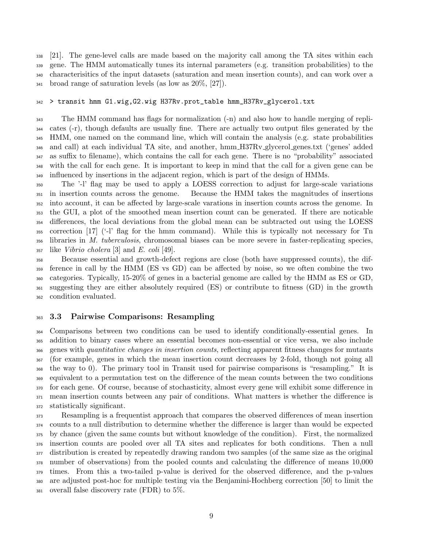[21]. The gene-level calls are made based on the majority call among the TA sites within each gene. The HMM automatically tunes its internal parameters (e.g. transition probabilities) to the characterisitics of the input datasets (saturation and mean insertion counts), and can work over a broad range of saturation levels (as low as 20%, [27]).

#### > transit hmm G1.wig,G2.wig H37Rv.prot\_table hmm\_H37Rv\_glycerol.txt

 The HMM command has flags for normalization (-n) and also how to handle merging of repli- cates (-r), though defaults are usually fine. There are actually two output files generated by the HMM, one named on the command line, which will contain the analysis (e.g. state probabilities and call) at each individual TA site, and another, hmm H37Rv glycerol genes.txt ('genes' added as suffix to filename), which contains the call for each gene. There is no "probability" associated with the call for each gene. It is important to keep in mind that the call for a given gene can be influenced by insertions in the adjacent region, which is part of the design of HMMs.

 The '-l' flag may be used to apply a LOESS correction to adjust for large-scale variations in insertion counts across the genome. Because the HMM takes the magnitudes of insertions into account, it can be affected by large-scale varations in insertion counts across the genome. In the GUI, a plot of the smoothed mean insertion count can be generated. If there are noticable differences, the local deviations from the global mean can be subtracted out using the LOESS correction [17] ('-l' flag for the hmm command). While this is typically not necessary for Tn libraries in M. tuberculosis, chromosomal biases can be more severe in faster-replicating species, like *Vibrio cholera* [3] and *E. coli* [49].

 Because essential and growth-defect regions are close (both have suppressed counts), the dif- ference in call by the HMM (ES vs GD) can be affected by noise, so we often combine the two categories. Typically, 15-20% of genes in a bacterial genome are called by the HMM as ES or GD, suggesting they are either absolutely required (ES) or contribute to fitness (GD) in the growth condition evaluated.

### 3.3 Pairwise Comparisons: Resampling

 Comparisons between two conditions can be used to identify conditionally-essential genes. In addition to binary cases where an essential becomes non-essential or vice versa, we also include <sub>366</sub> genes with *quantitative changes in insertion counts*, reflecting apparent fitness changes for mutants (for example, genes in which the mean insertion count decreases by 2-fold, though not going all the way to 0). The primary tool in Transit used for pairwise comparisons is "resampling." It is equivalent to a permutation test on the difference of the mean counts between the two conditions for each gene. Of course, because of stochasticity, almost every gene will exhibit some difference in mean insertion counts between any pair of conditions. What matters is whether the difference is statistically significant.

 Resampling is a frequentist approach that compares the observed differences of mean insertion counts to a null distribution to determine whether the difference is larger than would be expected by chance (given the same counts but without knowledge of the condition). First, the normalized insertion counts are pooled over all TA sites and replicates for both conditions. Then a null distribution is created by repeatedly drawing random two samples (of the same size as the original number of observations) from the pooled counts and calculating the difference of means 10,000 times. From this a two-tailed p-value is derived for the observed difference, and the p-values are adjusted post-hoc for multiple testing via the Benjamini-Hochberg correction [50] to limit the overall false discovery rate (FDR) to 5%.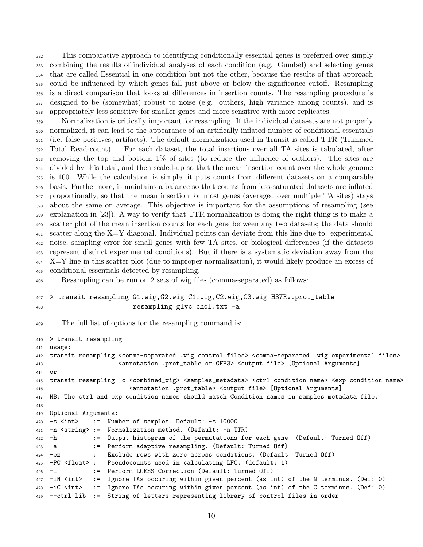This comparative approach to identifying conditionally essential genes is preferred over simply combining the results of individual analyses of each condition (e.g. Gumbel) and selecting genes that are called Essential in one condition but not the other, because the results of that approach could be influenced by which genes fall just above or below the significance cutoff. Resampling is a direct comparison that looks at differences in insertion counts. The resampling procedure is designed to be (somewhat) robust to noise (e.g. outliers, high variance among counts), and is appropriately less sensitive for smaller genes and more sensitive with more replicates.

 Normalization is critically important for resampling. If the individual datasets are not properly normalized, it can lead to the appearance of an artifically inflated number of conditional essentials (i.e. false positives, artifacts). The default normalization used in Transit is called TTR (Trimmed Total Read-count). For each dataset, the total insertions over all TA sites is tabulated, after removing the top and bottom 1% of sites (to reduce the influence of outliers). The sites are divided by this total, and then scaled-up so that the mean insertion count over the whole genome is 100. While the calculation is simple, it puts counts from different datasets on a comparable basis. Furthermore, it maintains a balance so that counts from less-saturated datasets are inflated proportionally, so that the mean insertion for most genes (averaged over multiple TA sites) stays about the same on average. This objective is important for the assumptions of resampling (see 399 explanation in [23]). A way to verify that TTR normalization is doing the right thing is to make a scatter plot of the mean insertion counts for each gene between any two datasets; the data should scatter along the X=Y diagonal. Individual points can deviate from this line due to: experimental noise, sampling error for small genes with few TA sites, or biological differences (if the datasets represent distinct experimental conditions). But if there is a systematic deviation away from the X=Y line in this scatter plot (due to improper normalization), it would likely produce an excess of conditional essentials detected by resampling.

Resampling can be run on 2 sets of wig files (comma-separated) as follows:

### > transit resampling G1.wig,G2.wig C1.wig,C2.wig,C3.wig H37Rv.prot\_table resampling\_glyc\_chol.txt -a

The full list of options for the resampling command is:

```
410 > transit resampling
411 usage:
412 transit resampling <comma-separated .wig control files> <comma-separated .wig experimental files>
413 <annotation .prot_table or GFF3> <output file> [Optional Arguments]
414 or
415 transit resampling -c <combined_wig> <samples_metadata> <ctrl condition name> <exp condition name>
416 <annotation .prot_table> <output file> [Optional Arguments]
417 NB: The ctrl and exp condition names should match Condition names in samples_metadata file.
418
419 Optional Arguments:
420 -s <int> := Number of samples. Default: -s 10000
421 -n <string> := Normalization method. (Default: -n TTR)
422 -h := Output histogram of the permutations for each gene. (Default: Turned Off)
423 -a := Perform adaptive resampling. (Default: Turned Off)
424 -ez := Exclude rows with zero across conditions. (Default: Turned Off)
425 -PC <float> := Pseudocounts used in calculating LFC. (default: 1)
426 -l := Perform LOESS Correction (Default: Turned Off)
427 -iN <int> := Ignore TAs occuring within given percent (as int) of the N terminus. (Def: 0)
428 -iC <int> := Ignore TAs occuring within given percent (as int) of the C terminus. (Def: 0)
429 --ctrl_lib := String of letters representing library of control files in order
```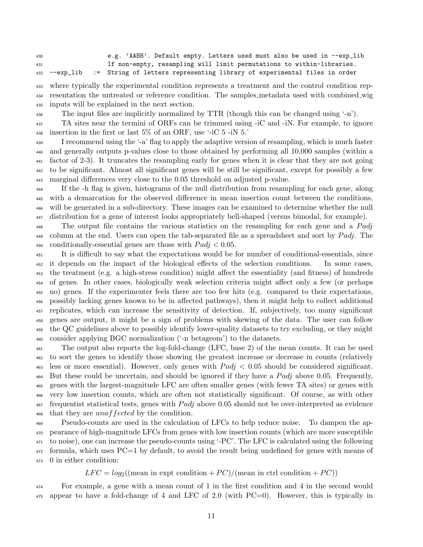e.g. 'AABB'. Default empty. Letters used must also be used in --exp\_lib If non-empty, resampling will limit permutations to within-libraries. --exp\_lib := String of letters representing library of experimental files in order

 where typically the experimental condition represents a treatment and the control condition rep- resentation the untreated or reference condition. The samples metadata used with combined wig inputs will be explained in the next section.

<sup>436</sup> The input files are implicitly normalized by TTR (though this can be changed using '-n').

 TA sites near the termini of ORFs can be trimmed using -iC and -iN. For example, to ignore 438 insertion in the first or last  $5\%$  of an ORF, use '-iC 5 -iN 5.'

 I recommend using the '-a' flag to apply the adaptive version of resampling, which is much faster and generally outputs p-values close to those obtained by performing all 10,000 samples (within a factor of 2-3). It truncates the resampling early for genes when it is clear that they are not going to be significant. Almost all significant genes will be still be significant, except for possibly a few marginal differences very close to the 0.05 threshold on adjusted p-value.

 If the -h flag is given, histograms of the null distribution from resampling for each gene, along with a demarcation for the observed difference in mean insertion count between the conditions, will be generated in a sub-directory. These images can be examined to determine whether the null distribution for a gene of interest looks appropriately bell-shaped (versus bimodal, for example).

<sup>448</sup> The output file contains the various statistics on the resampling for each gene and a Padj 449 column at the end. Users can open the tab-separated file as a spreadsheet and sort by  $Padj$ . The 450 conditionally-essential genes are those with  $Padj < 0.05$ .

 It is difficult to say what the expectations would be for number of conditional-essentials, since it depends on the impact of the biological effects of the selection conditions. In some cases, the treatment (e.g. a high-stress condition) might affect the essentiality (and fitness) of hundreds of genes. In other cases, biologically weak selection criteria might affect only a few (or perhaps no) genes. If the experimenter feels there are too few hits (e.g. compared to their expectations, possibly lacking genes known to be in affected pathways), then it might help to collect additional replicates, which can increase the sensitivity of detection. If, subjectively, too many significant genes are output, it might be a sign of problems with skewing of the data. The user can follow the QC guidelines above to possibly identify lower-quality datasets to try excluding, or they might consider applying BGC normalization ('-n betageom') to the datasets.

 The output also reports the log-fold-change (LFC, base 2) of the mean counts. It can be used to sort the genes to identify those showing the greatest increase or decrease in counts (relatively 463 less or more essential). However, only genes with  $Padi < 0.05$  should be considered significant. 464 But these could be uncertain, and should be ignored if they have a  $Pad<sub>j</sub>$  above 0.05. Frequently, genes with the largest-magnitude LFC are often smaller genes (with fewer TA sites) or genes with very low insertion counts, which are often not statistically significant. Of course, as with other frequentist statistical tests, genes with Padj above 0.05 should not be over-interpreted as evidence 468 that they are *unaffected* by the condition.

 Pseudo-counts are used in the calculation of LFCs to help reduce noise. To dampen the ap- pearance of high-magnitude LFCs from genes with low insertion counts (which are more susceptible to noise), one can increase the pseudo-counts using '-PC'. The LFC is calculated using the following formula, which uses PC=1 by default, to avoid the result being undefined for genes with means of 0 in either condition:

 $LFC = log_2((mean in expt condition + PC)/(mean in cert condition + PC))$ 

 For example, a gene with a mean count of 1 in the first condition and 4 in the second would appear to have a fold-change of 4 and LFC of 2.0 (with PC=0). However, this is typically in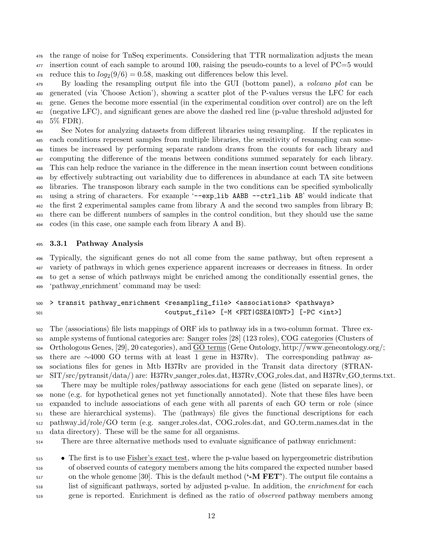the range of noise for TnSeq experiments. Considering that TTR normalization adjusts the mean insertion count of each sample to around 100, raising the pseudo-counts to a level of PC=5 would <sup>478</sup> reduce this to  $log_2(9/6) = 0.58$ , masking out differences below this level.

<sup>479</sup> By loading the resampling output file into the GUI (bottom panel), a *volcano plot* can be generated (via 'Choose Action'), showing a scatter plot of the P-values versus the LFC for each gene. Genes the become more essential (in the experimental condition over control) are on the left (negative LFC), and significant genes are above the dashed red line (p-value threshold adjusted for 5% FDR).

 See Notes for analyzing datasets from different libraries using resampling. If the replicates in each conditions represent samples from multiple libraries, the sensitivity of resampling can some- times be increased by performing separate random draws from the counts for each library and computing the difference of the means between conditions summed separately for each library. This can help reduce the variance in the difference in the mean insertion count between conditions by effectively subtracting out variability due to differences in abundance at each TA site between libraries. The transposon library each sample in the two conditions can be specified symbolically 491 using a string of characters. For example '--exp\_lib AABB --ctrl\_lib AB' would indicate that the first 2 experimental samples came from library A and the second two samples from library B; there can be different numbers of samples in the control condition, but they should use the same codes (in this case, one sample each from library A and B).

### 3.3.1 Pathway Analysis

 Typically, the significant genes do not all come from the same pathway, but often represent a variety of pathways in which genes experience apparent increases or decreases in fitness. In order to get a sense of which pathways might be enriched among the conditionally essential genes, the 'pathway enrichment' command may be used:

### 500 > transit pathway\_enrichment <resampling\_file> <associations> <pathways> <output\_file> [-M <FET|GSEA|ONT>] [-PC <int>]

 $\frac{1}{502}$  The (associations) file lists mappings of ORF ids to pathway ids in a two-column format. Three ex- ample systems of funtional categories are: Sanger roles [28] (123 roles), COG categories (Clusters of Orthologous Genes, [29], 20 categories), and GO terms (Gene Ontology, http://www.geneontology.org/; there are ∼4000 GO terms with at least 1 gene in H37Rv). The corresponding pathway as- sociations files for genes in Mtb H37Rv are provided in the Transit data directory (\$TRAN- SIT/src/pytransit/data/) are: H37Rv sanger roles.dat, H37Rv COG roles.dat, and H37Rv GO terms.txt. There may be multiple roles/pathway associations for each gene (listed on separate lines), or none (e.g. for hypothetical genes not yet functionally annotated). Note that these files have been expanded to include associations of each gene with all parents of each GO term or role (since  $\frac{1}{511}$  these are hierarchical systems). The  $\phi$ athways file gives the functional descriptions for each pathway id/role/GO term (e.g. sanger roles.dat, COG roles.dat, and GO term names.dat in the data directory). These will be the same for all organisms.

There are three alternative methods used to evaluate significance of pathway enrichment:

**•** The first is to use Fisher's exact test, where the p-value based on hypergeometric distribution of observed counts of category members among the hits compared the expected number based  $\frac{517}{100}$  on the whole genome [30]. This is the default method ( $\sim$ M FET'). The output file contains a list of significant pathways, sorted by adjusted p-value. In addition, the *enrichment* for each <sub>519</sub> gene is reported. Enrichment is defined as the ratio of *observed* pathway members among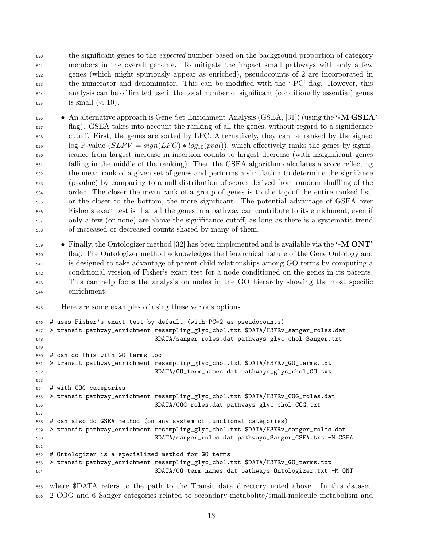<sub>520</sub> the significant genes to the *expected* number based on the background proportion of category members in the overall genome. To mitigate the impact small pathways with only a few genes (which might spuriously appear as enriched), pseudocounts of 2 are incorporated in the numerator and denominator. This can be modified with the '-PC' flag. However, this analysis can be of limited use if the total number of significant (conditionally essential) genes is small  $( $10$ ).$ 

• An alternative approach is Gene Set Enrichment Analysis (GSEA, [31]) (using the  $\cdot$ -M GSEA' flag). GSEA takes into account the ranking of all the genes, without regard to a significance cutoff. First, the genes are sorted by LFC. Alternatively, they can be ranked by the signed  $\log$ -P-value  $(SLPV = sign(LFC) * log_{10}(pval))$ , which effectively ranks the genes by signif- icance from largest increase in insertion counts to largest decrease (with insignificant genes falling in the middle of the ranking). Then the GSEA algorithm calculates a score reflecting the mean rank of a given set of genes and performs a simulation to determine the signifance (p-value) by comparing to a null distribution of scores derived from random shuffling of the order. The closer the mean rank of a group of genes is to the top of the entire ranked list, or the closer to the bottom, the more significant. The potential advantage of GSEA over Fisher's exact test is that all the genes in a pathway can contribute to its enrichment, even if only a few (or none) are above the significance cutoff, as long as there is a systematic trend of increased or decreased counts shared by many of them.

 $\bullet$  Finally, the Ontologizer method [32] has been implemented and is available via the  $\bullet$ -M ONT' flag. The Ontologizer method acknowledges the hierarchical nature of the Gene Ontology and is designed to take advantage of parent-child relationships among GO terms by computing a conditional version of Fisher's exact test for a node conditioned on the genes in its parents. This can help focus the analysis on nodes in the GO hierarchy showing the most specific enrichment.

Here are some examples of using these various options.

```
546 # uses Fisher's exact test by default (with PC=2 as pseudocounts)
547 > transit pathway_enrichment resampling_glyc_chol.txt $DATA/H37Rv_sanger_roles.dat
548 $DATA/sanger_roles.dat pathways_glyc_chol_Sanger.txt
549
550 # can do this with GO terms too
551 > transit pathway_enrichment resampling_glyc_chol.txt $DATA/H37Rv_GO_terms.txt
552 $DATA/GO_term_names.dat pathways_glyc_chol_GO.txt
553
554 # with COG categories
555 > transit pathway_enrichment resampling_glyc_chol.txt $DATA/H37Rv_COG_roles.dat
556 $DATA/COG_roles.dat pathways_glyc_chol_COG.txt
557
558 # can also do GSEA method (on any system of functional categories)
559 > transit pathway_enrichment resampling_glyc_chol.txt $DATA/H37Rv_sanger_roles.dat
560 $DATA/sanger_roles.dat pathways_Sanger_GSEA.txt -M GSEA
561
562 # Ontologizer is a specialized method for GO terms
563 > transit pathway_enrichment resampling_glyc_chol.txt $DATA/H37Rv_GO_terms.txt
564 $DATA/GO_term_names.dat pathways_Ontologizer.txt -M ONT
```
 where \$DATA refers to the path to the Transit data directory noted above. In this dataset, 2 COG and 6 Sanger categories related to secondary-metabolite/small-molecule metabolism and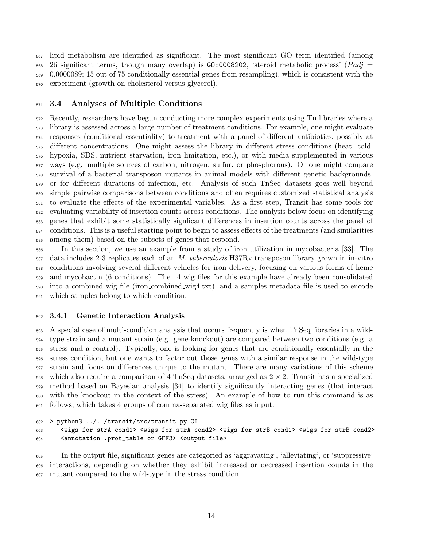lipid metabolism are identified as significant. The most significant GO term identified (among  $568\quad 26$  significant terms, though many overlap) is GO:0008202, 'steroid metabolic process' (Padj = 0.0000089; 15 out of 75 conditionally essential genes from resampling), which is consistent with the experiment (growth on cholesterol versus glycerol).

### 3.4 Analyses of Multiple Conditions

 Recently, researchers have begun conducting more complex experiments using Tn libraries where a library is assessed across a large number of treatment conditions. For example, one might evaluate responses (conditional essentiality) to treatment with a panel of different antibiotics, possibly at different concentrations. One might assess the library in different stress conditions (heat, cold, hypoxia, SDS, nutrient starvation, iron limitation, etc.), or with media supplemented in various ways (e.g. multiple sources of carbon, nitrogen, sulfur, or phosphorous). Or one might compare survival of a bacterial transposon mutants in animal models with different genetic backgrounds, or for different durations of infection, etc. Analysis of such TnSeq datasets goes well beyond simple pairwise comparisons between conditions and often requires customized statistical analysis to evaluate the effects of the experimental variables. As a first step, Transit has some tools for evaluating variability of insertion counts across conditions. The analysis below focus on identifying genes that exhibit some statistically signficant differences in insertion counts across the panel of conditions. This is a useful starting point to begin to assess effects of the treatments (and similarities among them) based on the subsets of genes that respond.

 In this section, we use an example from a study of iron utilization in mycobacteria [33]. The data includes 2-3 replicates each of an M. tuberculosis H37Rv transposon library grown in in-vitro conditions involving several different vehicles for iron delivery, focusing on various forms of heme and mycobactin (6 conditions). The 14 wig files for this example have already been consolidated into a combined wig file (iron combined wig4.txt), and a samples metadata file is used to encode which samples belong to which condition.

### 3.4.1 Genetic Interaction Analysis

 A special case of multi-condition analysis that occurs frequently is when TnSeq libraries in a wild- type strain and a mutant strain (e.g. gene-knockout) are compared between two conditions (e.g. a stress and a control). Typically, one is looking for genes that are conditionally essentially in the stress condition, but one wants to factor out those genes with a similar response in the wild-type strain and focus on differences unique to the mutant. There are many variations of this scheme 598 which also require a comparison of 4 TnSeq datasets, arranged as  $2 \times 2$ . Transit has a specialized method based on Bayesian analysis [34] to identify significantly interacting genes (that interact with the knockout in the context of the stress). An example of how to run this command is as follows, which takes 4 groups of comma-separated wig files as input:

> python3 ../../transit/src/transit.py GI

```
603 <wigs_for_strA_cond1> <wigs_for_strA_cond2> <wigs_for_strB_cond1> <wigs_for_strB_cond2>
604 <annotation .prot_table or GFF3> <output file>
```
 In the output file, significant genes are categoried as 'aggravating', 'alleviating', or 'suppressive' interactions, depending on whether they exhibit increased or decreased insertion counts in the mutant compared to the wild-type in the stress condition.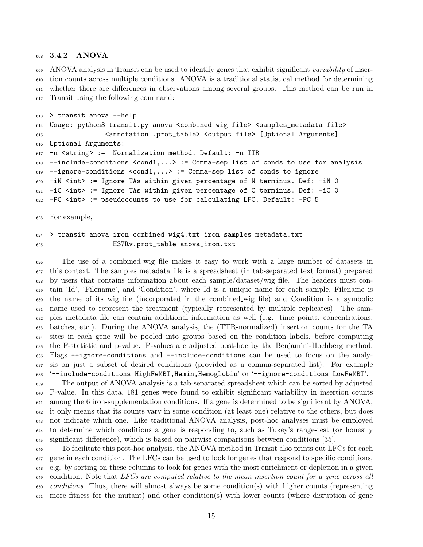#### 3.4.2 ANOVA

<sub>609</sub> ANOVA analysis in Transit can be used to identify genes that exhibit significant variability of inser- tion counts across multiple conditions. ANOVA is a traditional statistical method for determining whether there are differences in observations among several groups. This method can be run in Transit using the following command:

```
613 > transit anova --help
614 Usage: python3 transit.py anova <combined wig file> <samples_metadata file>
615 <annotation .prot_table> <output file> [Optional Arguments]
616 Optional Arguments:
617 -n <string> := Normalization method. Default: -n TTR
618 --include-conditions <cond1,...> := Comma-sep list of conds to use for analysis
619 --ignore-conditions <cond1,...> := Comma-sep list of conds to ignore
620 -iN <int> := Ignore TAs within given percentage of N terminus. Def: -iN O
621 -iC <int> := Ignore TAs within given percentage of C terminus. Def: -iC 0
622 -PC <int> := pseudocounts to use for calculating LFC. Default: -PC 5
```
For example,

### > transit anova iron\_combined\_wig4.txt iron\_samples\_metadata.txt H37Rv.prot\_table anova\_iron.txt

 The use of a combined wig file makes it easy to work with a large number of datasets in this context. The samples metadata file is a spreadsheet (in tab-separated text format) prepared by users that contains information about each sample/dataset/wig file. The headers must con- tain 'Id', 'Filename', and 'Condition', where Id is a unique name for each sample, Filename is the name of its wig file (incorporated in the combined wig file) and Condition is a symbolic name used to represent the treatment (typically represented by multiple replicates). The sam- ples metadata file can contain additional information as well (e.g. time points, concentrations, batches, etc.). During the ANOVA analysis, the (TTR-normalized) insertion counts for the TA sites in each gene will be pooled into groups based on the condition labels, before computing the F-statistic and p-value. P-values are adjusted post-hoc by the Benjamini-Hochberg method. Flags --ignore-conditions and --include-conditions can be used to focus on the analy- sis on just a subset of desired conditions (provided as a comma-separated list). For example '--include-conditions HighFeMBT,Hemin,Hemoglobin' or '--ignore-conditions LowFeMBT'.

 The output of ANOVA analysis is a tab-separated spreadsheet which can be sorted by adjusted P-value. In this data, 181 genes were found to exhibit significant variability in insertion counts among the 6 iron-supplementation conditions. If a gene is determined to be significant by ANOVA, it only means that its counts vary in some condition (at least one) relative to the others, but does not indicate which one. Like traditional ANOVA analysis, post-hoc analyses must be employed to determine which conditions a gene is responding to, such as Tukey's range-test (or honestly significant difference), which is based on pairwise comparisons between conditions [35].

 To facilitate this post-hoc analysis, the ANOVA method in Transit also prints out LFCs for each gene in each condition. The LFCs can be used to look for genes that respond to specific conditions, e.g. by sorting on these columns to look for genes with the most enrichment or depletion in a given 649 condition. Note that LFCs are computed relative to the mean insertion count for a gene across all <sub>650</sub> conditions. Thus, there will almost always be some condition(s) with higher counts (representing more fitness for the mutant) and other condition(s) with lower counts (where disruption of gene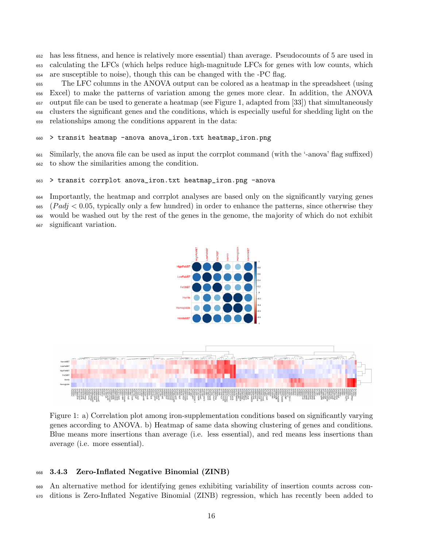has less fitness, and hence is relatively more essential) than average. Pseudocounts of 5 are used in calculating the LFCs (which helps reduce high-magnitude LFCs for genes with low counts, which are susceptible to noise), though this can be changed with the -PC flag.

 The LFC columns in the ANOVA output can be colored as a heatmap in the spreadsheet (using Excel) to make the patterns of variation among the genes more clear. In addition, the ANOVA output file can be used to generate a heatmap (see Figure 1, adapted from [33]) that simultaneously clusters the significant genes and the conditions, which is especially useful for shedding light on the relationships among the conditions apparent in the data:

### > transit heatmap -anova anova\_iron.txt heatmap\_iron.png

 Similarly, the anova file can be used as input the corrplot command (with the '-anova' flag suffixed) to show the similarities among the condition.

#### > transit corrplot anova\_iron.txt heatmap\_iron.png -anova

 Importantly, the heatmap and corrplot analyses are based only on the significantly varying genes  $665 \left( \text{Pad} \right) < 0.05$ , typically only a few hundred) in order to enhance the patterns, since otherwise they would be washed out by the rest of the genes in the genome, the majority of which do not exhibit significant variation.





Figure 1: a) Correlation plot among iron-supplementation conditions based on significantly varying genes according to ANOVA. b) Heatmap of same data showing clustering of genes and conditions. Blue means more insertions than average (i.e. less essential), and red means less insertions than average (i.e. more essential).

#### 3.4.3 Zero-Inflated Negative Binomial (ZINB)

 An alternative method for identifying genes exhibiting variability of insertion counts across con-ditions is Zero-Inflated Negative Binomial (ZINB) regression, which has recently been added to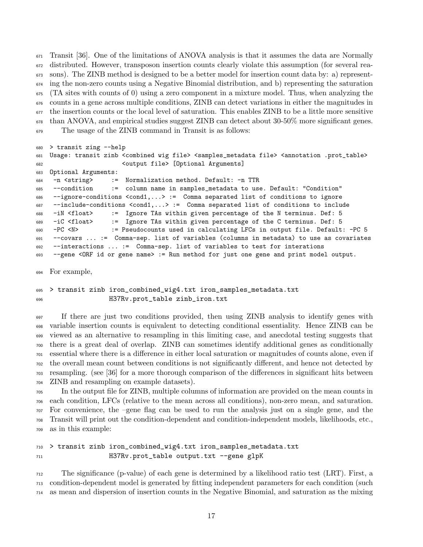Transit [36]. One of the limitations of ANOVA analysis is that it assumes the data are Normally distributed. However, transposon insertion counts clearly violate this assumption (for several rea- sons). The ZINB method is designed to be a better model for insertion count data by: a) represent- ing the non-zero counts using a Negative Binomial distribution, and b) representing the saturation (TA sites with counts of 0) using a zero component in a mixture model. Thus, when analyzing the counts in a gene across multiple conditions, ZINB can detect variations in either the magnitudes in the insertion counts or the local level of saturation. This enables ZINB to be a little more sensitive than ANOVA, and empirical studies suggest ZINB can detect about 30-50% more significant genes. The usage of the ZINB command in Transit is as follows:

```
680 > transit zing --help
681 Usage: transit zinb <combined wig file> <samples_metadata file> <annotation .prot_table>
682 <output file> [Optional Arguments]
683 Optional Arguments:
684 -n <string> := Normalization method. Default: -n TTR
685 --condition := column name in samples_metadata to use. Default: "Condition"
686 --ignore-conditions <cond1,...> := Comma separated list of conditions to ignore
687 --include-conditions <cond1,...> := Comma separated list of conditions to include
688 -iN <float> := Ignore TAs within given percentage of the N terminus. Def: 5
689 -iC <float> := Ignore TAs within given percentage of the C terminus. Def: 5
690 -PC <N> := Pseudocounts used in calculating LFCs in output file. Default: -PC 5
691 --covars ... := Comma-sep. list of variables (columns in metadata) to use as covariates
692 --interactions ... := Comma-sep. list of variables to test for interations
693 --gene <ORF id or gene name> := Run method for just one gene and print model output.
```
For example,

 > transit zinb iron\_combined\_wig4.txt iron\_samples\_metadata.txt H37Rv.prot\_table zinb\_iron.txt

 If there are just two conditions provided, then using ZINB analysis to identify genes with variable insertion counts is equivalent to detecting conditional essentiality. Hence ZINB can be viewed as an alternative to resampling in this limiting case, and anecdotal testing suggests that there is a great deal of overlap. ZINB can sometimes identify additional genes as conditionally essential where there is a difference in either local saturation or magnitudes of counts alone, even if the overall mean count between conditions is not significantly different, and hence not detected by resampling. (see [36] for a more thorough comparison of the differences in significant hits between ZINB and resampling on example datasets).

 In the output file for ZINB, multiple columns of information are provided on the mean counts in each condition, LFCs (relative to the mean across all conditions), non-zero mean, and saturation. For convenience, the –gene flag can be used to run the analysis just on a single gene, and the Transit will print out the condition-dependent and condition-independent models, likelihoods, etc., as in this example:

```
710 > transit zinb iron_combined_wig4.txt iron_samples_metadata.txt
711 H37Rv.prot_table output.txt --gene glpK
```
 The significance (p-value) of each gene is determined by a likelihood ratio test (LRT). First, a condition-dependent model is generated by fitting independent parameters for each condition (such as mean and dispersion of insertion counts in the Negative Binomial, and saturation as the mixing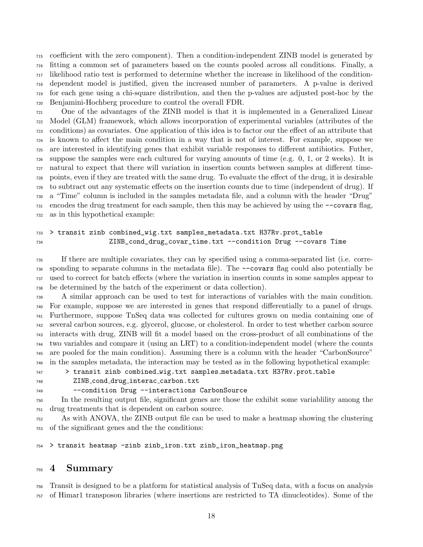coefficient with the zero component). Then a condition-independent ZINB model is generated by fitting a common set of parameters based on the counts pooled across all conditions. Finally, a likelihood ratio test is performed to determine whether the increase in likelihood of the condition- dependent model is justified, given the increased number of parameters. A p-value is derived for each gene using a chi-square distribution, and then the p-values are adjusted post-hoc by the Benjamini-Hochberg procedure to control the overall FDR.

 One of the advantages of the ZINB model is that it is implemented in a Generalized Linear Model (GLM) framework, which allows incorporation of experimental variables (attributes of the conditions) as covariates. One application of this idea is to factor our the effect of an attribute that is known to affect the main condition in a way that is not of interest. For example, suppose we are interested in identifying genes that exhibit variable responses to different antibiotics. Futher, suppose the samples were each cultured for varying amounts of time (e.g. 0, 1, or 2 weeks). It is natural to expect that there will variation in insertion counts between samples at different time- points, even if they are treated with the same drug. To evaluate the effect of the drug, it is desirable to subtract out any systematic effects on the insertion counts due to time (independent of drug). If a "Time" column is included in the samples metadata file, and a column with the header "Drug" encodes the drug treatment for each sample, then this may be achieved by using the  $\sim$ -covars flag, as in this hypothetical example:

### > transit zinb combined\_wig.txt samples\_metadata.txt H37Rv.prot\_table ZINB\_cond\_drug\_covar\_time.txt --condition Drug --covars Time

 If there are multiple covariates, they can by specified using a comma-separated list (i.e. corre- sponding to separate columns in the metadata file). The --covars flag could also potentially be used to correct for batch effects (where the variation in insertion counts in some samples appear to be determined by the batch of the experiment or data collection).

 A similar approach can be used to test for interactions of variables with the main condition. For example, suppose we are interested in genes that respond differentially to a panel of drugs. Furthermore, suppose TnSeq data was collected for cultures grown on media containing one of several carbon sources, e.g. glycerol, glucose, or cholesterol. In order to test whether carbon source interacts with drug, ZINB will fit a model based on the cross-product of all combinations of the two variables and compare it (using an LRT) to a condition-independent model (where the counts are pooled for the main condition). Assuming there is a column with the header "CarbonSource" in the samples metadata, the interaction may be tested as in the following hypothetical example:

> transit zinb combined wig.txt samples metadata.txt H37Rv.prot table

- ZINB cond drug interac carbon.txt
- 

### --condition Drug --interactions CarbonSource

 In the resulting output file, significant genes are those the exhibit some variablility among the drug treatments that is dependent on carbon source.

 As with ANOVA, the ZINB output file can be used to make a heatmap showing the clustering of the significant genes and the the conditions:

> transit heatmap -zinb zinb\_iron.txt zinb\_iron\_heatmap.png

## 4 Summary

 Transit is designed to be a platform for statistical analysis of TnSeq data, with a focus on analysis of Himar1 transposon libraries (where insertions are restricted to TA dinucleotides). Some of the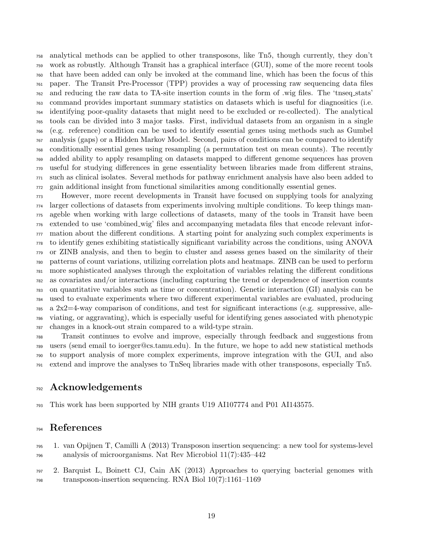analytical methods can be applied to other transposons, like Tn5, though currently, they don't work as robustly. Although Transit has a graphical interface (GUI), some of the more recent tools that have been added can only be invoked at the command line, which has been the focus of this paper. The Transit Pre-Processor (TPP) provides a way of processing raw sequencing data files and reducing the raw data to TA-site insertion counts in the form of .wig files. The 'tnseq stats' command provides important summary statistics on datasets which is useful for diagnositics (i.e. identifying poor-quality datasets that might need to be excluded or re-collected). The analytical tools can be divided into 3 major tasks. First, individual datasets from an organism in a single (e.g. reference) condition can be used to identify essential genes using methods such as Gumbel analysis (gaps) or a Hidden Markov Model. Second, pairs of conditions can be compared to identify conditionally essential genes using resampling (a permutation test on mean counts). The recently added ability to apply resampling on datasets mapped to different genome sequences has proven useful for studying differences in gene essentiality between libraries made from different strains, such as clinical isolates. Several methods for pathway enrichment analysis have also been added to gain additional insight from functional similarities among conditionally essential genes.

 However, more recent developments in Transit have focused on supplying tools for analyzing larger collections of datasets from experiments involving multiple conditions. To keep things man- ageble when working with large collections of datasets, many of the tools in Transit have been extended to use 'combined wig' files and accompanying metadata files that encode relevant infor- mation about the different conditions. A starting point for analyzing such complex experiments is to identify genes exhibiting statistically significant variability across the conditions, using ANOVA or ZINB analysis, and then to begin to cluster and assess genes based on the similarity of their patterns of count variations, utilizing correlation plots and heatmaps. ZINB can be used to perform more sophisticated analyses through the exploitation of variables relating the different conditions as covariates and/or interactions (including capturing the trend or dependence of insertion counts on quantitative variables such as time or concentration). Genetic interaction (GI) analysis can be used to evaluate experiments where two different experimental variables are evaluated, producing a  $2x2=4$ -way comparison of conditions, and test for significant interactions (e.g. suppressive, alle- viating, or aggravating), which is especially useful for identifying genes associated with phenotypic changes in a knock-out strain compared to a wild-type strain.

 Transit continues to evolve and improve, especially through feedback and suggestions from users (send email to ioerger@cs.tamu.edu). In the future, we hope to add new statistical methods to support analysis of more complex experiments, improve integration with the GUI, and also extend and improve the analyses to TnSeq libraries made with other transposons, especially Tn5.

## Acknowledgements

This work has been supported by NIH grants U19 AI107774 and P01 AI143575.

## References

- 1. van Opijnen T, Camilli A (2013) Transposon insertion sequencing: a new tool for systems-level analysis of microorganisms. Nat Rev Microbiol 11(7):435–442
- 2. Barquist L, Boinett CJ, Cain AK (2013) Approaches to querying bacterial genomes with transposon-insertion sequencing. RNA Biol 10(7):1161–1169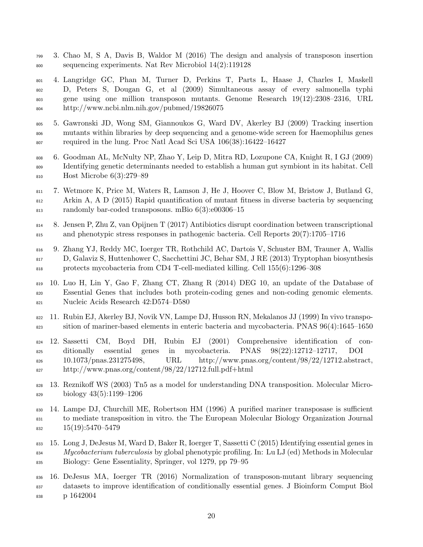- 3. Chao M, S A, Davis B, Waldor M (2016) The design and analysis of transposon insertion sequencing experiments. Nat Rev Microbiol 14(2):119128
- 4. Langridge GC, Phan M, Turner D, Perkins T, Parts L, Haase J, Charles I, Maskell D, Peters S, Dougan G, et al (2009) Simultaneous assay of every salmonella typhi gene using one million transposon mutants. Genome Research 19(12):2308–2316, URL http://www.ncbi.nlm.nih.gov/pubmed/19826075
- 5. Gawronski JD, Wong SM, Giannoukos G, Ward DV, Akerley BJ (2009) Tracking insertion mutants within libraries by deep sequencing and a genome-wide screen for Haemophilus genes required in the lung. Proc Natl Acad Sci USA 106(38):16422–16427
- 6. Goodman AL, McNulty NP, Zhao Y, Leip D, Mitra RD, Lozupone CA, Knight R, I GJ (2009) Identifying genetic determinants needed to establish a human gut symbiont in its habitat. Cell Host Microbe 6(3):279–89
- 7. Wetmore K, Price M, Waters R, Lamson J, He J, Hoover C, Blow M, Bristow J, Butland G, Arkin A, A D (2015) Rapid quantification of mutant fitness in diverse bacteria by sequencing randomly bar-coded transposons. mBio 6(3):e00306–15
- 8. Jensen P, Zhu Z, van Opijnen T (2017) Antibiotics disrupt coordination between transcriptional and phenotypic stress responses in pathogenic bacteria. Cell Reports 20(7):1705–1716
- 9. Zhang YJ, Reddy MC, Ioerger TR, Rothchild AC, Dartois V, Schuster BM, Trauner A, Wallis D, Galaviz S, Huttenhower C, Sacchettini JC, Behar SM, J RE (2013) Tryptophan biosynthesis protects mycobacteria from CD4 T-cell-mediated killing. Cell 155(6):1296–308
- 10. Luo H, Lin Y, Gao F, Zhang CT, Zhang R (2014) DEG 10, an update of the Database of Essential Genes that includes both protein-coding genes and non-coding genomic elements. Nucleic Acids Research 42:D574–D580
- 11. Rubin EJ, Akerley BJ, Novik VN, Lampe DJ, Husson RN, Mekalanos JJ (1999) In vivo transpo-sition of mariner-based elements in enteric bacteria and mycobacteria. PNAS 96(4):1645–1650
- 12. Sassetti CM, Boyd DH, Rubin EJ (2001) Comprehensive identification of con- ditionally essential genes in mycobacteria. PNAS 98(22):12712–12717, DOI 10.1073/pnas.231275498, URL http://www.pnas.org/content/98/22/12712.abstract, http://www.pnas.org/content/98/22/12712.full.pdf+html
- 13. Reznikoff WS (2003) Tn5 as a model for understanding DNA transposition. Molecular Micro-biology 43(5):1199–1206
- 14. Lampe DJ, Churchill ME, Robertson HM (1996) A purified mariner transposase is sufficient to mediate transposition in vitro. the The European Molecular Biology Organization Journal 15(19):5470–5479
- 15. Long J, DeJesus M, Ward D, Baker R, Ioerger T, Sassetti C (2015) Identifying essential genes in 834 Mycobacterium tuberculosis by global phenotypic profiling. In: Lu LJ (ed) Methods in Molecular Biology: Gene Essentiality, Springer, vol 1279, pp 79–95
- 16. DeJesus MA, Ioerger TR (2016) Normalization of transposon-mutant library sequencing datasets to improve identification of conditionally essential genes. J Bioinform Comput Biol p 1642004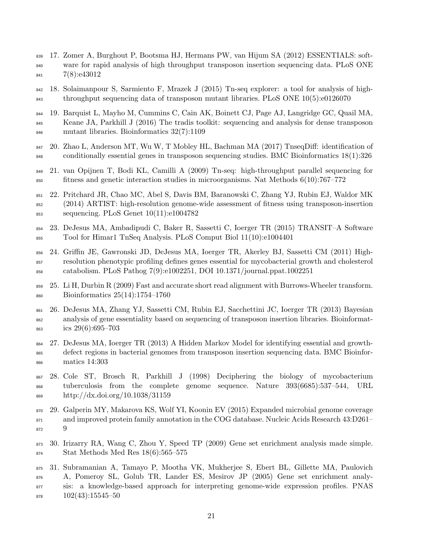- 17. Zomer A, Burghout P, Bootsma HJ, Hermans PW, van Hijum SA (2012) ESSENTIALS: soft- ware for rapid analysis of high throughput transposon insertion sequencing data. PLoS ONE 7(8):e43012
- 18. Solaimanpour S, Sarmiento F, Mrazek J (2015) Tn-seq explorer: a tool for analysis of high-throughput sequencing data of transposon mutant libraries. PLoS ONE 10(5):e0126070
- 19. Barquist L, Mayho M, Cummins C, Cain AK, Boinett CJ, Page AJ, Langridge GC, Quail MA, Keane JA, Parkhill J (2016) The tradis toolkit: sequencing and analysis for dense transposon mutant libraries. Bioinformatics 32(7):1109
- 20. Zhao L, Anderson MT, Wu W, T Mobley HL, Bachman MA (2017) TnseqDiff: identification of conditionally essential genes in transposon sequencing studies. BMC Bioinformatics 18(1):326
- 21. van Opijnen T, Bodi KL, Camilli A (2009) Tn-seq: high-throughput parallel sequencing for fitness and genetic interaction studies in microorganisms. Nat Methods 6(10):767–772
- 22. Pritchard JR, Chao MC, Abel S, Davis BM, Baranowski C, Zhang YJ, Rubin EJ, Waldor MK (2014) ARTIST: high-resolution genome-wide assessment of fitness using transposon-insertion sequencing. PLoS Genet 10(11):e1004782
- 23. DeJesus MA, Ambadipudi C, Baker R, Sassetti C, Ioerger TR (2015) TRANSIT–A Software Tool for Himar1 TnSeq Analysis. PLoS Comput Biol 11(10):e1004401
- 24. Griffin JE, Gawronski JD, DeJesus MA, Ioerger TR, Akerley BJ, Sassetti CM (2011) High- resolution phenotypic profiling defines genes essential for mycobacterial growth and cholesterol catabolism. PLoS Pathog 7(9):e1002251, DOI 10.1371/journal.ppat.1002251
- 25. Li H, Durbin R (2009) Fast and accurate short read alignment with Burrows-Wheeler transform. Bioinformatics 25(14):1754–1760
- 26. DeJesus MA, Zhang YJ, Sassetti CM, Rubin EJ, Sacchettini JC, Ioerger TR (2013) Bayesian analysis of gene essentiality based on sequencing of transposon insertion libraries. Bioinformat-ics 29(6):695–703
- 27. DeJesus MA, Ioerger TR (2013) A Hidden Markov Model for identifying essential and growth- defect regions in bacterial genomes from transposon insertion sequencing data. BMC Bioinfor-matics 14:303
- 28. Cole ST, Brosch R, Parkhill J (1998) Deciphering the biology of mycobacterium tuberculosis from the complete genome sequence. Nature 393(6685):537–544, URL http://dx.doi.org/10.1038/31159
- 29. Galperin MY, Makarova KS, Wolf YI, Koonin EV (2015) Expanded microbial genome coverage and improved protein family annotation in the COG database. Nucleic Acids Research 43:D261– 9
- 30. Irizarry RA, Wang C, Zhou Y, Speed TP (2009) Gene set enrichment analysis made simple. Stat Methods Med Res 18(6):565–575
- 31. Subramanian A, Tamayo P, Mootha VK, Mukherjee S, Ebert BL, Gillette MA, Paulovich A, Pomeroy SL, Golub TR, Lander ES, Mesirov JP (2005) Gene set enrichment analy- sis: a knowledge-based approach for interpreting genome-wide expression profiles. PNAS  $102(43):15545-50$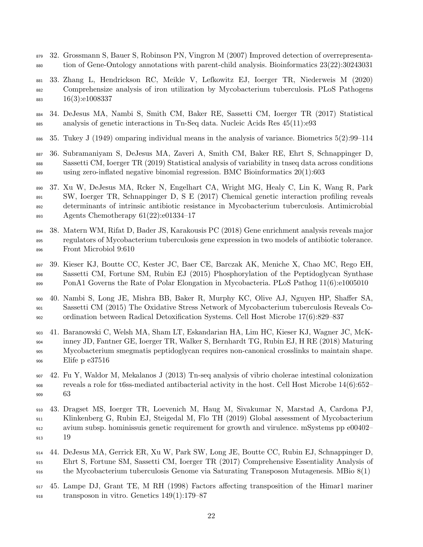- 32. Grossmann S, Bauer S, Robinson PN, Vingron M (2007) Improved detection of overrepresenta-tion of Gene-Ontology annotations with parent-child analysis. Bioinformatics 23(22):30243031
- 33. Zhang L, Hendrickson RC, Meikle V, Lefkowitz EJ, Ioerger TR, Niederweis M (2020) Comprehensize analysis of iron utilization by Mycobacterium tuberculosis. PLoS Pathogens 16(3):e1008337
- 34. DeJesus MA, Nambi S, Smith CM, Baker RE, Sassetti CM, Ioerger TR (2017) Statistical analysis of genetic interactions in Tn-Seq data. Nucleic Acids Res 45(11):e93
- 35. Tukey J (1949) omparing individual means in the analysis of variance. Biometrics 5(2):99–114
- 36. Subramaniyam S, DeJesus MA, Zaveri A, Smith CM, Baker RE, Ehrt S, Schnappinger D, Sassetti CM, Ioerger TR (2019) Statistical analysis of variability in tnseq data across conditions using zero-inflated negative binomial regression. BMC Bioinformatics 20(1):603
- 37. Xu W, DeJesus MA, Rcker N, Engelhart CA, Wright MG, Healy C, Lin K, Wang R, Park SW, Ioerger TR, Schnappinger D, S E (2017) Chemical genetic interaction profiling reveals determinants of intrinsic antibiotic resistance in Mycobacterium tuberculosis. Antimicrobial Agents Chemotherapy 61(22):e01334–17
- 38. Matern WM, Rifat D, Bader JS, Karakousis PC (2018) Gene enrichment analysis reveals major regulators of Mycobacterium tuberculosis gene expression in two models of antibiotic tolerance. Front Microbiol 9:610
- 39. Kieser KJ, Boutte CC, Kester JC, Baer CE, Barczak AK, Meniche X, Chao MC, Rego EH, Sassetti CM, Fortune SM, Rubin EJ (2015) Phosphorylation of the Peptidoglycan Synthase 899 PonA1 Governs the Rate of Polar Elongation in Mycobacteria. PLoS Pathog 11(6):e1005010
- 40. Nambi S, Long JE, Mishra BB, Baker R, Murphy KC, Olive AJ, Nguyen HP, Shaffer SA, Sassetti CM (2015) The Oxidative Stress Network of Mycobacterium tuberculosis Reveals Co-ordination between Radical Detoxification Systems. Cell Host Microbe 17(6):829–837
- 41. Baranowski C, Welsh MA, Sham LT, Eskandarian HA, Lim HC, Kieser KJ, Wagner JC, McK- inney JD, Fantner GE, Ioerger TR, Walker S, Bernhardt TG, Rubin EJ, H RE (2018) Maturing Mycobacterium smegmatis peptidoglycan requires non-canonical crosslinks to maintain shape. Elife p e37516
- 42. Fu Y, Waldor M, Mekalanos J (2013) Tn-seq analysis of vibrio cholerae intestinal colonization reveals a role for t6ss-mediated antibacterial activity in the host. Cell Host Microbe 14(6):652– 63
- 43. Dragset MS, Ioerger TR, Loevenich M, Haug M, Sivakumar N, Marstad A, Cardona PJ, Klinkenberg G, Rubin EJ, Steigedal M, Flo TH (2019) Global assessment of Mycobacterium avium subsp. hominissuis genetic requirement for growth and virulence. mSystems pp e00402– 19
- 44. DeJesus MA, Gerrick ER, Xu W, Park SW, Long JE, Boutte CC, Rubin EJ, Schnappinger D, Ehrt S, Fortune SM, Sassetti CM, Ioerger TR (2017) Comprehensive Essentiality Analysis of the Mycobacterium tuberculosis Genome via Saturating Transposon Mutagenesis. MBio 8(1)
- 45. Lampe DJ, Grant TE, M RH (1998) Factors affecting transposition of the Himar1 mariner transposon in vitro. Genetics 149(1):179–87